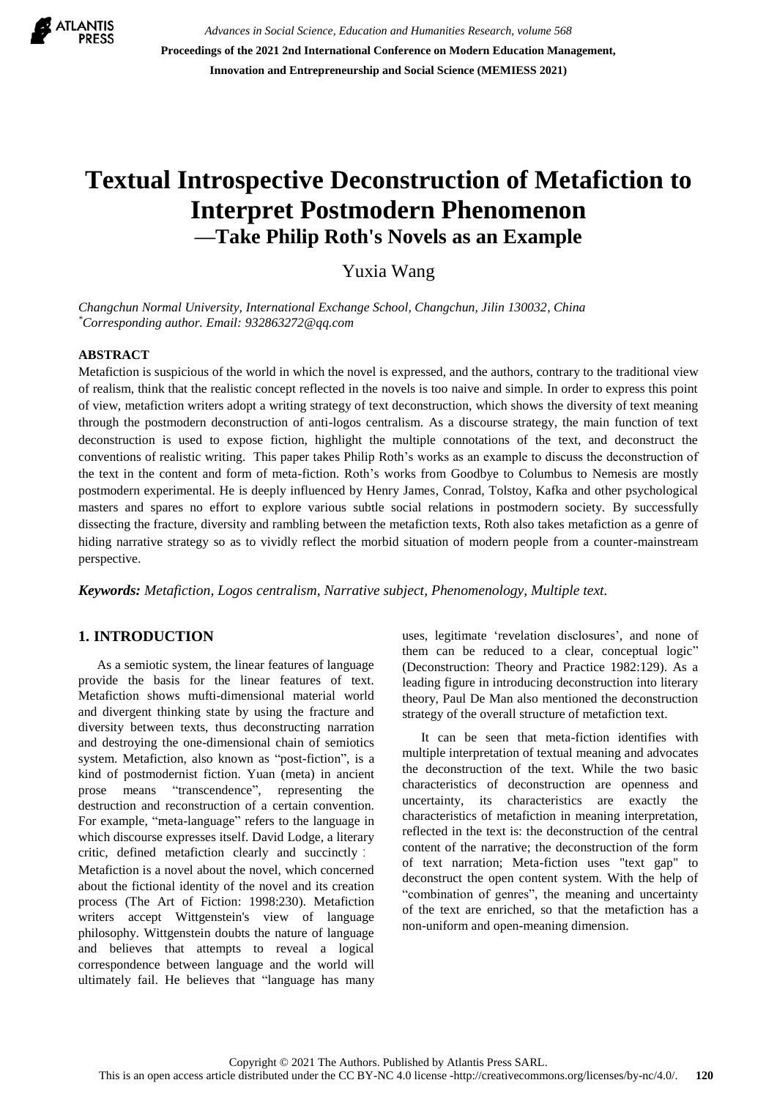

*Advances in Social Science, Education and Humanities Research, volume 568* **Proceedings of the 2021 2nd International Conference on Modern Education Management, Innovation and Entrepreneurship and Social Science (MEMIESS 2021)**

# **Textual Introspective Deconstruction of Metafiction to Interpret Postmodern Phenomenon —Take Philip Roth's Novels as an Example**

Yuxia Wang

*Changchun Normal University, International Exchange School, Changchun, Jilin 130032, China \*Corresponding author. Email: [932863272@qq.com](mailto:932863272@qq.com)*

#### **ABSTRACT**

Metafiction is suspicious of the world in which the novel is expressed, and the authors, contrary to the traditional view of realism, think that the realistic concept reflected in the novels is too naive and simple. In order to express this point of view, metafiction writers adopt a writing strategy of text deconstruction, which shows the diversity of text meaning through the postmodern deconstruction of anti-logos centralism. As a discourse strategy, the main function of text deconstruction is used to expose fiction, highlight the multiple connotations of the text, and deconstruct the conventions of realistic writing. This paper takes Philip Roth's works as an example to discuss the deconstruction of the text in the content and form of meta-fiction. Roth's works from Goodbye to Columbus to Nemesis are mostly postmodern experimental. He is deeply influenced by Henry James, Conrad, Tolstoy, Kafka and other psychological masters and spares no effort to explore various subtle social relations in postmodern society. By successfully dissecting the fracture, diversity and rambling between the metafiction texts, Roth also takes metafiction as a genre of hiding narrative strategy so as to vividly reflect the morbid situation of modern people from a counter-mainstream perspective.

*Keywords: Metafiction, Logos centralism, Narrative subject, Phenomenology, Multiple text.*

# **1. INTRODUCTION**

As a semiotic system, the linear features of language provide the basis for the linear features of text. Metafiction shows mufti-dimensional material world and divergent thinking state by using the fracture and diversity between texts, thus deconstructing narration and destroying the one-dimensional chain of semiotics system. Metafiction, also known as "post-fiction", is a kind of postmodernist fiction. Yuan (meta) in ancient prose means "transcendence", representing the destruction and reconstruction of a certain convention. For example, "meta-language" refers to the language in which discourse expresses itself. David Lodge, a literary critic, defined metafiction clearly and succinctly : Metafiction is a novel about the novel, which concerned about the fictional identity of the novel and its creation process (The Art of Fiction: 1998:230). Metafiction writers accept Wittgenstein's view of language philosophy. Wittgenstein doubts the nature of language and believes that attempts to reveal a logical correspondence between language and the world will ultimately fail. He believes that "language has many uses, legitimate 'revelation disclosures', and none of them can be reduced to a clear, conceptual logic" (Deconstruction: Theory and Practice 1982:129). As a leading figure in introducing deconstruction into literary theory, Paul De Man also mentioned the deconstruction strategy of the overall structure of metafiction text.

It can be seen that meta-fiction identifies with multiple interpretation of textual meaning and advocates the deconstruction of the text. While the two basic characteristics of deconstruction are openness and uncertainty, its characteristics are exactly the characteristics of metafiction in meaning interpretation, reflected in the text is: the deconstruction of the central content of the narrative; the deconstruction of the form of text narration; Meta-fiction uses "text gap" to deconstruct the open content system. With the help of "combination of genres", the meaning and uncertainty of the text are enriched, so that the metafiction has a non-uniform and open-meaning dimension.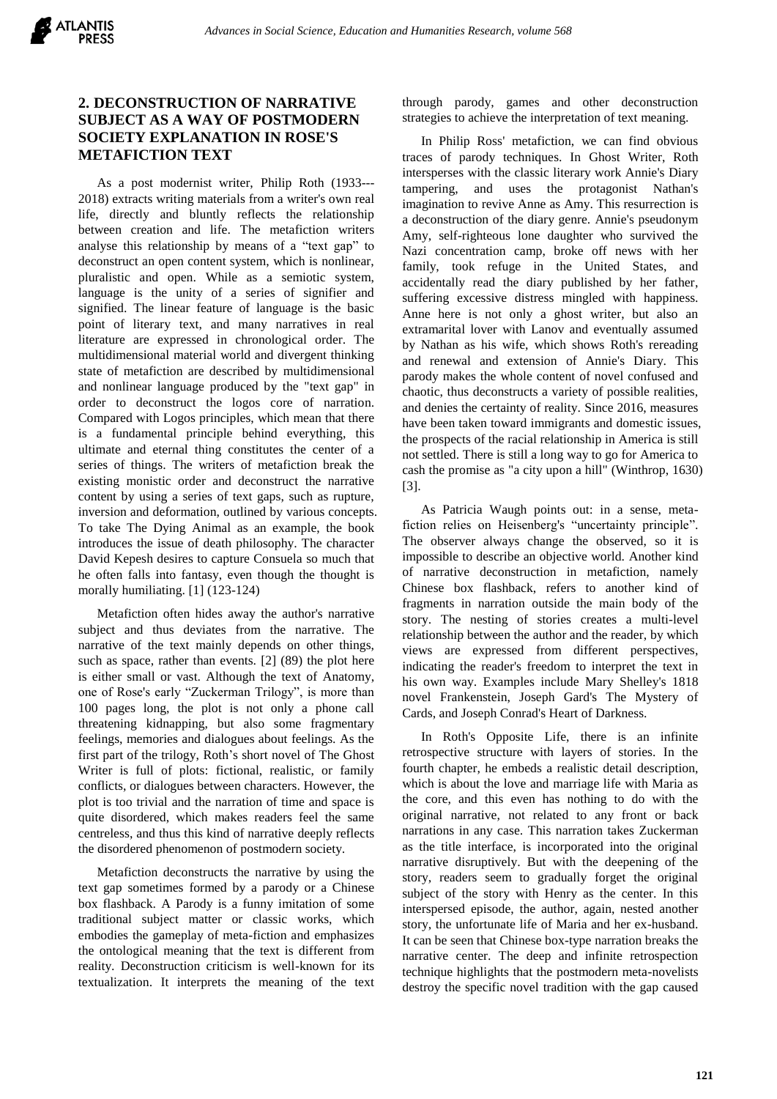## **2. DECONSTRUCTION OF NARRATIVE SUBJECT AS A WAY OF POSTMODERN SOCIETY EXPLANATION IN ROSE'S METAFICTION TEXT**

As a post modernist writer, Philip Roth (1933--- 2018) extracts writing materials from a writer's own real life, directly and bluntly reflects the relationship between creation and life. The metafiction writers analyse this relationship by means of a "text gap" to deconstruct an open content system, which is nonlinear, pluralistic and open. While as a semiotic system, language is the unity of a series of signifier and signified. The linear feature of language is the basic point of literary text, and many narratives in real literature are expressed in chronological order. The multidimensional material world and divergent thinking state of metafiction are described by multidimensional and nonlinear language produced by the "text gap" in order to deconstruct the logos core of narration. Compared with Logos principles, which mean that there is a fundamental principle behind everything, this ultimate and eternal thing constitutes the center of a series of things. The writers of metafiction break the existing monistic order and deconstruct the narrative content by using a series of text gaps, such as rupture, inversion and deformation, outlined by various concepts. To take The Dying Animal as an example, the book introduces the issue of death philosophy. The character David Kepesh desires to capture Consuela so much that he often falls into fantasy, even though the thought is morally humiliating. [1] (123-124)

Metafiction often hides away the author's narrative subject and thus deviates from the narrative. The narrative of the text mainly depends on other things, such as space, rather than events. [2] (89) the plot here is either small or vast. Although the text of Anatomy, one of Rose's early "Zuckerman Trilogy", is more than 100 pages long, the plot is not only a phone call threatening kidnapping, but also some fragmentary feelings, memories and dialogues about feelings. As the first part of the trilogy, Roth's short novel of The Ghost Writer is full of plots: fictional, realistic, or family conflicts, or dialogues between characters. However, the plot is too trivial and the narration of time and space is quite disordered, which makes readers feel the same centreless, and thus this kind of narrative deeply reflects the disordered phenomenon of postmodern society.

Metafiction deconstructs the narrative by using the text gap sometimes formed by a parody or a Chinese box flashback. A Parody is a funny imitation of some traditional subject matter or classic works, which embodies the gameplay of meta-fiction and emphasizes the ontological meaning that the text is different from reality. Deconstruction criticism is well-known for its textualization. It interprets the meaning of the text through parody, games and other deconstruction strategies to achieve the interpretation of text meaning.

In Philip Ross' metafiction, we can find obvious traces of parody techniques. In Ghost Writer, Roth intersperses with the classic literary work Annie's Diary tampering, and uses the protagonist Nathan's imagination to revive Anne as Amy. This resurrection is a deconstruction of the diary genre. Annie's pseudonym Amy, self-righteous lone daughter who survived the Nazi concentration camp, broke off news with her family, took refuge in the United States, and accidentally read the diary published by her father, suffering excessive distress mingled with happiness. Anne here is not only a ghost writer, but also an extramarital lover with Lanov and eventually assumed by Nathan as his wife, which shows Roth's rereading and renewal and extension of Annie's Diary. This parody makes the whole content of novel confused and chaotic, thus deconstructs a variety of possible realities, and denies the certainty of reality. Since 2016, measures have been taken toward immigrants and domestic issues, the prospects of the racial relationship in America is still not settled. There is still a long way to go for America to cash the promise as "a city upon a hill" (Winthrop, 1630) [3].

As Patricia Waugh points out: in a sense, metafiction relies on Heisenberg's "uncertainty principle". The observer always change the observed, so it is impossible to describe an objective world. Another kind of narrative deconstruction in metafiction, namely Chinese box flashback, refers to another kind of fragments in narration outside the main body of the story. The nesting of stories creates a multi-level relationship between the author and the reader, by which views are expressed from different perspectives, indicating the reader's freedom to interpret the text in his own way. Examples include Mary Shelley's 1818 novel Frankenstein, Joseph Gard's The Mystery of Cards, and Joseph Conrad's Heart of Darkness.

In Roth's Opposite Life, there is an infinite retrospective structure with layers of stories. In the fourth chapter, he embeds a realistic detail description, which is about the love and marriage life with Maria as the core, and this even has nothing to do with the original narrative, not related to any front or back narrations in any case. This narration takes Zuckerman as the title interface, is incorporated into the original narrative disruptively. But with the deepening of the story, readers seem to gradually forget the original subject of the story with Henry as the center. In this interspersed episode, the author, again, nested another story, the unfortunate life of Maria and her ex-husband. It can be seen that Chinese box-type narration breaks the narrative center. The deep and infinite retrospection technique highlights that the postmodern meta-novelists destroy the specific novel tradition with the gap caused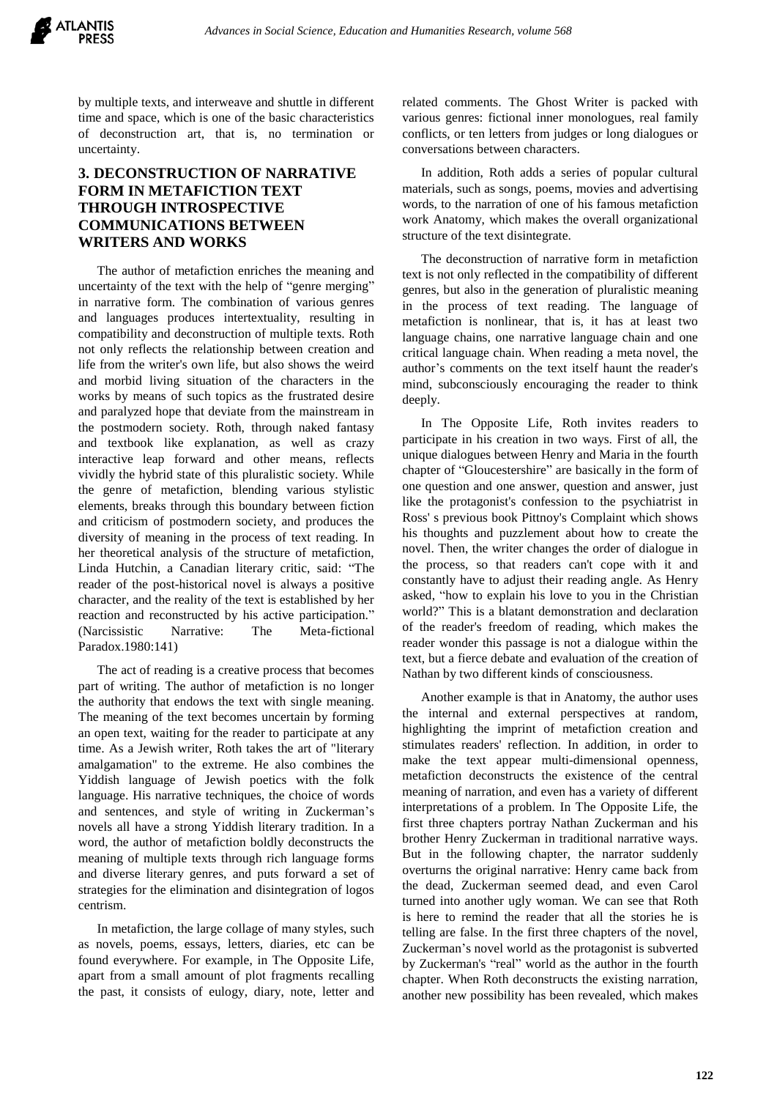

by multiple texts, and interweave and shuttle in different time and space, which is one of the basic characteristics of deconstruction art, that is, no termination or uncertainty.

# **3. DECONSTRUCTION OF NARRATIVE FORM IN METAFICTION TEXT THROUGH INTROSPECTIVE COMMUNICATIONS BETWEEN WRITERS AND WORKS**

The author of metafiction enriches the meaning and uncertainty of the text with the help of "genre merging" in narrative form. The combination of various genres and languages produces intertextuality, resulting in compatibility and deconstruction of multiple texts. Roth not only reflects the relationship between creation and life from the writer's own life, but also shows the weird and morbid living situation of the characters in the works by means of such topics as the frustrated desire and paralyzed hope that deviate from the mainstream in the postmodern society. Roth, through naked fantasy and textbook like explanation, as well as crazy interactive leap forward and other means, reflects vividly the hybrid state of this pluralistic society. While the genre of metafiction, blending various stylistic elements, breaks through this boundary between fiction and criticism of postmodern society, and produces the diversity of meaning in the process of text reading. In her theoretical analysis of the structure of metafiction, Linda Hutchin, a Canadian literary critic, said: "The reader of the post-historical novel is always a positive character, and the reality of the text is established by her reaction and reconstructed by his active participation." (Narcissistic Narrative: The Meta-fictional Paradox.1980:141)

The act of reading is a creative process that becomes part of writing. The author of metafiction is no longer the authority that endows the text with single meaning. The meaning of the text becomes uncertain by forming an open text, waiting for the reader to participate at any time. As a Jewish writer, Roth takes the art of "literary amalgamation" to the extreme. He also combines the Yiddish language of Jewish poetics with the folk language. His narrative techniques, the choice of words and sentences, and style of writing in Zuckerman's novels all have a strong Yiddish literary tradition. In a word, the author of metafiction boldly deconstructs the meaning of multiple texts through rich language forms and diverse literary genres, and puts forward a set of strategies for the elimination and disintegration of logos centrism.

In metafiction, the large collage of many styles, such as novels, poems, essays, letters, diaries, etc can be found everywhere. For example, in The Opposite Life, apart from a small amount of plot fragments recalling the past, it consists of eulogy, diary, note, letter and

related comments. The Ghost Writer is packed with various genres: fictional inner monologues, real family conflicts, or ten letters from judges or long dialogues or conversations between characters.

In addition, Roth adds a series of popular cultural materials, such as songs, poems, movies and advertising words, to the narration of one of his famous metafiction work Anatomy, which makes the overall organizational structure of the text disintegrate.

The deconstruction of narrative form in metafiction text is not only reflected in the compatibility of different genres, but also in the generation of pluralistic meaning in the process of text reading. The language of metafiction is nonlinear, that is, it has at least two language chains, one narrative language chain and one critical language chain. When reading a meta novel, the author's comments on the text itself haunt the reader's mind, subconsciously encouraging the reader to think deeply.

In The Opposite Life, Roth invites readers to participate in his creation in two ways. First of all, the unique dialogues between Henry and Maria in the fourth chapter of "Gloucestershire" are basically in the form of one question and one answer, question and answer, just like the protagonist's confession to the psychiatrist in Ross' s previous book Pittnoy's Complaint which shows his thoughts and puzzlement about how to create the novel. Then, the writer changes the order of dialogue in the process, so that readers can't cope with it and constantly have to adjust their reading angle. As Henry asked, "how to explain his love to you in the Christian world?" This is a blatant demonstration and declaration of the reader's freedom of reading, which makes the reader wonder this passage is not a dialogue within the text, but a fierce debate and evaluation of the creation of Nathan by two different kinds of consciousness.

Another example is that in Anatomy, the author uses the internal and external perspectives at random, highlighting the imprint of metafiction creation and stimulates readers' reflection. In addition, in order to make the text appear multi-dimensional openness, metafiction deconstructs the existence of the central meaning of narration, and even has a variety of different interpretations of a problem. In The Opposite Life, the first three chapters portray Nathan Zuckerman and his brother Henry Zuckerman in traditional narrative ways. But in the following chapter, the narrator suddenly overturns the original narrative: Henry came back from the dead, Zuckerman seemed dead, and even Carol turned into another ugly woman. We can see that Roth is here to remind the reader that all the stories he is telling are false. In the first three chapters of the novel, Zuckerman's novel world as the protagonist is subverted by Zuckerman's "real" world as the author in the fourth chapter. When Roth deconstructs the existing narration, another new possibility has been revealed, which makes